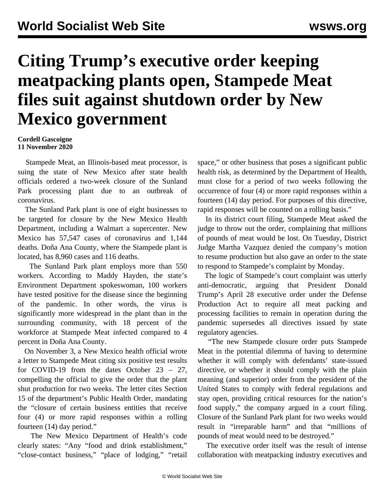## **Citing Trump's executive order keeping meatpacking plants open, Stampede Meat files suit against shutdown order by New Mexico government**

## **Cordell Gascoigne 11 November 2020**

 Stampede Meat, an Illinois-based meat processor, is suing the state of New Mexico after state health officials ordered a two-week closure of the Sunland Park processing plant due to an outbreak of coronavirus.

 The Sunland Park plant is one of eight businesses to be targeted for closure by the New Mexico Health Department, including a Walmart a supercenter. New Mexico has 57,547 cases of coronavirus and 1,144 deaths. Doña Ana County, where the Stampede plant is located, has 8,960 cases and 116 deaths.

 The Sunland Park plant employs more than 550 workers. According to Maddy Hayden, the state's Environment Department spokeswoman, 100 workers have tested positive for the disease since the beginning of the pandemic. In other words, the virus is significantly more widespread in the plant than in the surrounding community, with 18 percent of the workforce at Stampede Meat infected compared to 4 percent in Doña Ana County.

 On November 3, a New Mexico health official wrote a letter to Stampede Meat citing six positive test results for COVID-19 from the dates October 23 – 27, compelling the official to give the order that the plant shut production for two weeks. The letter cites Section 15 of the department's Public Health Order, mandating the "closure of certain business entities that receive four (4) or more rapid responses within a rolling fourteen (14) day period."

 The New Mexico Department of Health's code clearly states: "Any "food and drink establishment," "close-contact business," "place of lodging," "retail space," or other business that poses a significant public health risk, as determined by the Department of Health, must close for a period of two weeks following the occurrence of four (4) or more rapid responses within a fourteen (14) day period. For purposes of this directive, rapid responses will be counted on a rolling basis."

 In its district court filing, Stampede Meat asked the judge to throw out the order, complaining that millions of pounds of meat would be lost. On Tuesday, District Judge Martha Vazquez denied the company's motion to resume production but also gave an order to the state to respond to Stampede's complaint by Monday.

 The logic of Stampede's court complaint was utterly anti-democratic, arguing that President Donald Trump's April 28 [executive order](/en/articles/2020/04/29/pers-a29.html) under the Defense Production Act to require all meat packing and processing facilities to remain in operation during the pandemic supersedes all directives issued by state regulatory agencies.

 "The new Stampede closure order puts Stampede Meat in the potential dilemma of having to determine whether it will comply with defendants' state-issued directive, or whether it should comply with the plain meaning (and superior) order from the president of the United States to comply with federal regulations and stay open, providing critical resources for the nation's food supply," the company argued in a court filing. Closure of the Sunland Park plant for two weeks would result in "irreparable harm" and that "millions of pounds of meat would need to be destroyed."

 The executive order itself was the result of intense collaboration with meatpacking industry executives and